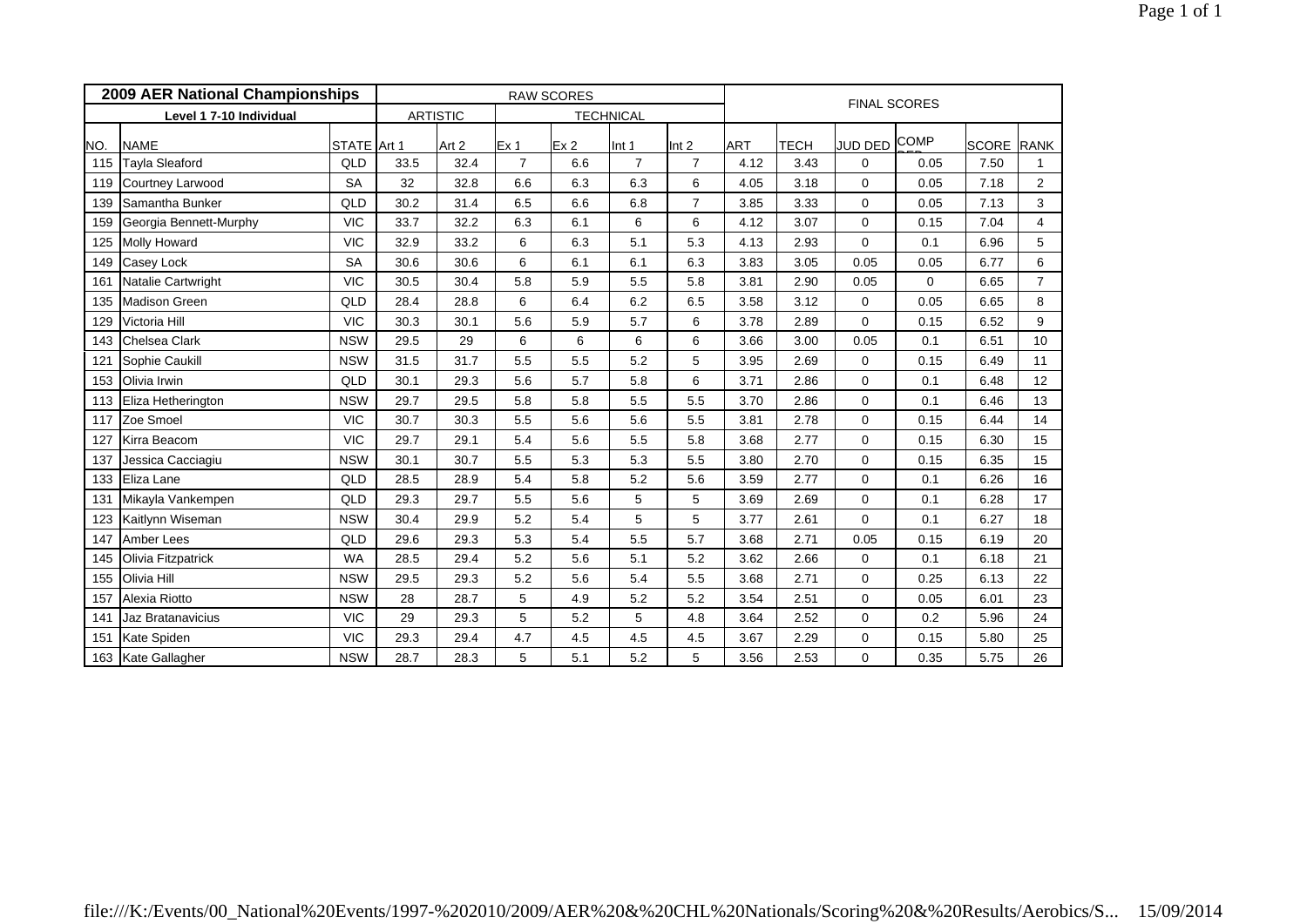|     | 2009 AER National Championships |             |      |                 | <b>RAW SCORES</b> |                 | <b>FINAL SCORES</b> |                  |            |      |              |             |                   |                |  |
|-----|---------------------------------|-------------|------|-----------------|-------------------|-----------------|---------------------|------------------|------------|------|--------------|-------------|-------------------|----------------|--|
|     | Level 1 7-10 Individual         |             |      | <b>ARTISTIC</b> |                   |                 | <b>TECHNICAL</b>    |                  |            |      |              |             |                   |                |  |
| NO. | <b>NAME</b>                     | STATE Art 1 |      | Art 2           | Ex <sub>1</sub>   | Ex <sub>2</sub> | Int 1               | Int <sub>2</sub> | <b>ART</b> | TECH | JUD DED COMP |             | <b>SCORE RANK</b> |                |  |
| 115 | Tayla Sleaford                  | QLD         | 33.5 | 32.4            | $\overline{7}$    | 6.6             | $\overline{7}$      | $\overline{7}$   | 4.12       | 3.43 | 0            | 0.05        | 7.50              |                |  |
| 119 | <b>Courtney Larwood</b>         | <b>SA</b>   | 32   | 32.8            | 6.6               | 6.3             | 6.3                 | 6                | 4.05       | 3.18 | $\Omega$     | 0.05        | 7.18              | $\overline{2}$ |  |
| 139 | Samantha Bunker                 | QLD         | 30.2 | 31.4            | 6.5               | 6.6             | 6.8                 | $\overline{7}$   | 3.85       | 3.33 | $\Omega$     | 0.05        | 7.13              | 3              |  |
| 159 | Georgia Bennett-Murphy          | <b>VIC</b>  | 33.7 | 32.2            | 6.3               | 6.1             | 6                   | 6                | 4.12       | 3.07 | $\Omega$     | 0.15        | 7.04              | $\overline{4}$ |  |
| 125 | <b>Molly Howard</b>             | <b>VIC</b>  | 32.9 | 33.2            | 6                 | 6.3             | 5.1                 | 5.3              | 4.13       | 2.93 | $\Omega$     | 0.1         | 6.96              | 5              |  |
| 149 | Casey Lock                      | <b>SA</b>   | 30.6 | 30.6            | 6                 | 6.1             | 6.1                 | 6.3              | 3.83       | 3.05 | 0.05         | 0.05        | 6.77              | 6              |  |
| 161 | Natalie Cartwright              | <b>VIC</b>  | 30.5 | 30.4            | 5.8               | 5.9             | 5.5                 | 5.8              | 3.81       | 2.90 | 0.05         | $\mathbf 0$ | 6.65              | $\overline{7}$ |  |
| 135 | <b>Madison Green</b>            | QLD         | 28.4 | 28.8            | 6                 | 6.4             | 6.2                 | 6.5              | 3.58       | 3.12 | $\mathbf 0$  | 0.05        | 6.65              | 8              |  |
| 129 | Victoria Hill                   | <b>VIC</b>  | 30.3 | 30.1            | 5.6               | 5.9             | 5.7                 | 6                | 3.78       | 2.89 | $\mathbf 0$  | 0.15        | 6.52              | 9              |  |
| 143 | Chelsea Clark                   | <b>NSW</b>  | 29.5 | 29              | 6                 | 6               | 6                   | 6                | 3.66       | 3.00 | 0.05         | 0.1         | 6.51              | 10             |  |
| 121 | Sophie Caukill                  | <b>NSW</b>  | 31.5 | 31.7            | 5.5               | 5.5             | 5.2                 | 5                | 3.95       | 2.69 | $\mathbf 0$  | 0.15        | 6.49              | 11             |  |
| 153 | Olivia Irwin                    | QLD         | 30.1 | 29.3            | 5.6               | 5.7             | 5.8                 | 6                | 3.71       | 2.86 | $\mathbf 0$  | 0.1         | 6.48              | 12             |  |
| 113 | Eliza Hetherington              | <b>NSW</b>  | 29.7 | 29.5            | 5.8               | 5.8             | 5.5                 | 5.5              | 3.70       | 2.86 | $\mathbf 0$  | 0.1         | 6.46              | 13             |  |
| 117 | Zoe Smoel                       | <b>VIC</b>  | 30.7 | 30.3            | 5.5               | 5.6             | 5.6                 | 5.5              | 3.81       | 2.78 | $\mathbf 0$  | 0.15        | 6.44              | 14             |  |
| 127 | Kirra Beacom                    | <b>VIC</b>  | 29.7 | 29.1            | 5.4               | 5.6             | 5.5                 | 5.8              | 3.68       | 2.77 | $\Omega$     | 0.15        | 6.30              | 15             |  |
| 137 | Jessica Cacciagiu               | <b>NSW</b>  | 30.1 | 30.7            | 5.5               | 5.3             | 5.3                 | 5.5              | 3.80       | 2.70 | $\mathbf 0$  | 0.15        | 6.35              | 15             |  |
| 133 | Eliza Lane                      | QLD         | 28.5 | 28.9            | 5.4               | 5.8             | 5.2                 | 5.6              | 3.59       | 2.77 | $\Omega$     | 0.1         | 6.26              | 16             |  |
| 131 | Mikayla Vankempen               | QLD         | 29.3 | 29.7            | 5.5               | 5.6             | 5                   | 5                | 3.69       | 2.69 | $\mathbf 0$  | 0.1         | 6.28              | 17             |  |
| 123 | Kaitlynn Wiseman                | <b>NSW</b>  | 30.4 | 29.9            | 5.2               | 5.4             | 5                   | 5                | 3.77       | 2.61 | $\Omega$     | 0.1         | 6.27              | 18             |  |
| 147 | <b>Amber Lees</b>               | QLD         | 29.6 | 29.3            | 5.3               | 5.4             | 5.5                 | 5.7              | 3.68       | 2.71 | 0.05         | 0.15        | 6.19              | 20             |  |
| 145 | Olivia Fitzpatrick              | <b>WA</b>   | 28.5 | 29.4            | 5.2               | 5.6             | 5.1                 | 5.2              | 3.62       | 2.66 | $\mathbf 0$  | 0.1         | 6.18              | 21             |  |
| 155 | Olivia Hill                     | <b>NSW</b>  | 29.5 | 29.3            | 5.2               | 5.6             | 5.4                 | 5.5              | 3.68       | 2.71 | $\mathbf 0$  | 0.25        | 6.13              | 22             |  |
| 157 | Alexia Riotto                   | <b>NSW</b>  | 28   | 28.7            | 5                 | 4.9             | 5.2                 | 5.2              | 3.54       | 2.51 | $\mathbf 0$  | 0.05        | 6.01              | 23             |  |
| 141 | Jaz Bratanavicius               | <b>VIC</b>  | 29   | 29.3            | 5                 | 5.2             | 5                   | 4.8              | 3.64       | 2.52 | $\mathbf 0$  | 0.2         | 5.96              | 24             |  |
| 151 | Kate Spiden                     | <b>VIC</b>  | 29.3 | 29.4            | 4.7               | 4.5             | 4.5                 | 4.5              | 3.67       | 2.29 | $\mathbf 0$  | 0.15        | 5.80              | 25             |  |
| 163 | Kate Gallagher                  | <b>NSW</b>  | 28.7 | 28.3            | 5                 | 5.1             | 5.2                 | 5                | 3.56       | 2.53 | $\Omega$     | 0.35        | 5.75              | 26             |  |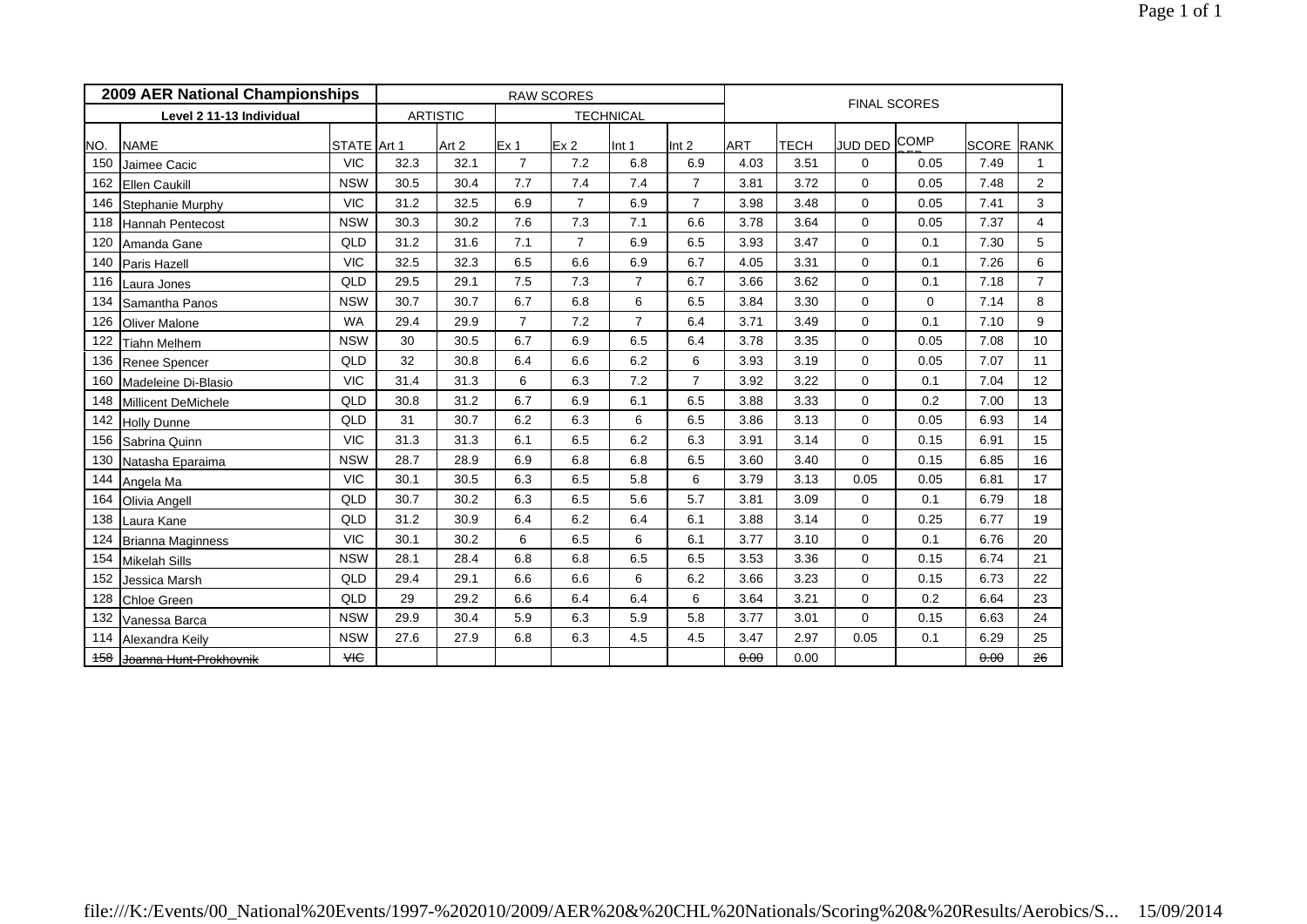|     | 2009 AER National Championships |             |      |                 | <b>RAW SCORES</b> |                 | <b>FINAL SCORES</b> |                  |            |      |                |             |                   |                 |  |
|-----|---------------------------------|-------------|------|-----------------|-------------------|-----------------|---------------------|------------------|------------|------|----------------|-------------|-------------------|-----------------|--|
|     | Level 2 11-13 Individual        |             |      | <b>ARTISTIC</b> |                   |                 | <b>TECHNICAL</b>    |                  |            |      |                |             |                   |                 |  |
| NO. | <b>NAME</b>                     | STATE Art 1 |      | Art 2           | Ex <sub>1</sub>   | Ex <sub>2</sub> | Int 1               | Int <sub>2</sub> | <b>ART</b> | TECH | <b>JUD DED</b> | <b>COMP</b> | <b>SCORE RANK</b> |                 |  |
| 150 | Jaimee Cacic                    | <b>VIC</b>  | 32.3 | 32.1            | $\overline{7}$    | 7.2             | 6.8                 | 6.9              | 4.03       | 3.51 | 0              | 0.05        | 7.49              |                 |  |
| 162 | <b>Ellen Caukill</b>            | <b>NSW</b>  | 30.5 | 30.4            | 7.7               | 7.4             | 7.4                 | $\overline{7}$   | 3.81       | 3.72 | $\Omega$       | 0.05        | 7.48              | $\overline{2}$  |  |
| 146 | Stephanie Murphy                | <b>VIC</b>  | 31.2 | 32.5            | 6.9               | $\overline{7}$  | 6.9                 | $\overline{7}$   | 3.98       | 3.48 | $\Omega$       | 0.05        | 7.41              | 3               |  |
| 118 | Hannah Pentecost                | <b>NSW</b>  | 30.3 | 30.2            | 7.6               | 7.3             | 7.1                 | 6.6              | 3.78       | 3.64 | $\Omega$       | 0.05        | 7.37              | $\overline{4}$  |  |
| 120 | Amanda Gane                     | QLD         | 31.2 | 31.6            | 7.1               | $\overline{7}$  | 6.9                 | 6.5              | 3.93       | 3.47 | $\mathbf 0$    | 0.1         | 7.30              | 5               |  |
| 140 | Paris Hazell                    | <b>VIC</b>  | 32.5 | 32.3            | 6.5               | 6.6             | 6.9                 | 6.7              | 4.05       | 3.31 | $\Omega$       | 0.1         | 7.26              | 6               |  |
| 116 | Laura Jones                     | QLD         | 29.5 | 29.1            | 7.5               | 7.3             | $\overline{7}$      | 6.7              | 3.66       | 3.62 | $\mathbf 0$    | 0.1         | 7.18              | $\overline{7}$  |  |
| 134 | Samantha Panos                  | <b>NSW</b>  | 30.7 | 30.7            | 6.7               | 6.8             | 6                   | 6.5              | 3.84       | 3.30 | $\mathbf 0$    | $\mathbf 0$ | 7.14              | 8               |  |
| 126 | <b>Oliver Malone</b>            | <b>WA</b>   | 29.4 | 29.9            | $\overline{7}$    | 7.2             | $\overline{7}$      | 6.4              | 3.71       | 3.49 | $\mathbf 0$    | 0.1         | 7.10              | 9               |  |
| 122 | <b>Tiahn Melhem</b>             | <b>NSW</b>  | 30   | 30.5            | 6.7               | 6.9             | 6.5                 | 6.4              | 3.78       | 3.35 | $\mathbf 0$    | 0.05        | 7.08              | 10              |  |
| 136 | Renee Spencer                   | QLD         | 32   | 30.8            | 6.4               | 6.6             | 6.2                 | 6                | 3.93       | 3.19 | $\mathbf 0$    | 0.05        | 7.07              | 11              |  |
| 160 | Madeleine Di-Blasio             | <b>VIC</b>  | 31.4 | 31.3            | 6                 | 6.3             | 7.2                 | $\overline{7}$   | 3.92       | 3.22 | $\mathbf 0$    | 0.1         | 7.04              | 12 <sup>°</sup> |  |
| 148 | Millicent DeMichele             | QLD         | 30.8 | 31.2            | 6.7               | 6.9             | 6.1                 | 6.5              | 3.88       | 3.33 | $\Omega$       | 0.2         | 7.00              | 13              |  |
| 142 | <b>Holly Dunne</b>              | QLD         | 31   | 30.7            | 6.2               | 6.3             | 6                   | 6.5              | 3.86       | 3.13 | $\mathbf 0$    | 0.05        | 6.93              | 14              |  |
| 156 | Sabrina Quinn                   | <b>VIC</b>  | 31.3 | 31.3            | 6.1               | 6.5             | 6.2                 | 6.3              | 3.91       | 3.14 | $\Omega$       | 0.15        | 6.91              | 15              |  |
| 130 | Natasha Eparaima                | <b>NSW</b>  | 28.7 | 28.9            | 6.9               | 6.8             | 6.8                 | 6.5              | 3.60       | 3.40 | $\Omega$       | 0.15        | 6.85              | 16              |  |
| 144 | Angela Ma                       | <b>VIC</b>  | 30.1 | 30.5            | 6.3               | 6.5             | 5.8                 | 6                | 3.79       | 3.13 | 0.05           | 0.05        | 6.81              | 17              |  |
| 164 | Olivia Angell                   | QLD         | 30.7 | 30.2            | 6.3               | 6.5             | 5.6                 | 5.7              | 3.81       | 3.09 | $\mathbf 0$    | 0.1         | 6.79              | 18              |  |
| 138 | Laura Kane                      | QLD         | 31.2 | 30.9            | 6.4               | 6.2             | 6.4                 | 6.1              | 3.88       | 3.14 | $\mathbf 0$    | 0.25        | 6.77              | 19              |  |
| 124 | Brianna Maginness               | <b>VIC</b>  | 30.1 | 30.2            | 6                 | 6.5             | 6                   | 6.1              | 3.77       | 3.10 | $\mathbf 0$    | 0.1         | 6.76              | 20              |  |
| 154 | <b>Mikelah Sills</b>            | <b>NSW</b>  | 28.1 | 28.4            | 6.8               | 6.8             | 6.5                 | 6.5              | 3.53       | 3.36 | $\mathbf 0$    | 0.15        | 6.74              | 21              |  |
| 152 | Jessica Marsh                   | QLD         | 29.4 | 29.1            | 6.6               | 6.6             | 6                   | 6.2              | 3.66       | 3.23 | $\Omega$       | 0.15        | 6.73              | 22              |  |
| 128 | <b>Chloe Green</b>              | QLD         | 29   | 29.2            | 6.6               | 6.4             | 6.4                 | 6                | 3.64       | 3.21 | $\mathbf 0$    | 0.2         | 6.64              | 23              |  |
| 132 | Vanessa Barca                   | <b>NSW</b>  | 29.9 | 30.4            | 5.9               | 6.3             | 5.9                 | 5.8              | 3.77       | 3.01 | $\Omega$       | 0.15        | 6.63              | 24              |  |
| 114 | Alexandra Keily                 | <b>NSW</b>  | 27.6 | 27.9            | 6.8               | 6.3             | 4.5                 | 4.5              | 3.47       | 2.97 | 0.05           | 0.1         | 6.29              | 25              |  |
| 458 | Joanna Hunt-Prokhovnik          | <b>VIC</b>  |      |                 |                   |                 |                     |                  | 0.00       | 0.00 |                |             | 0.00              | 26              |  |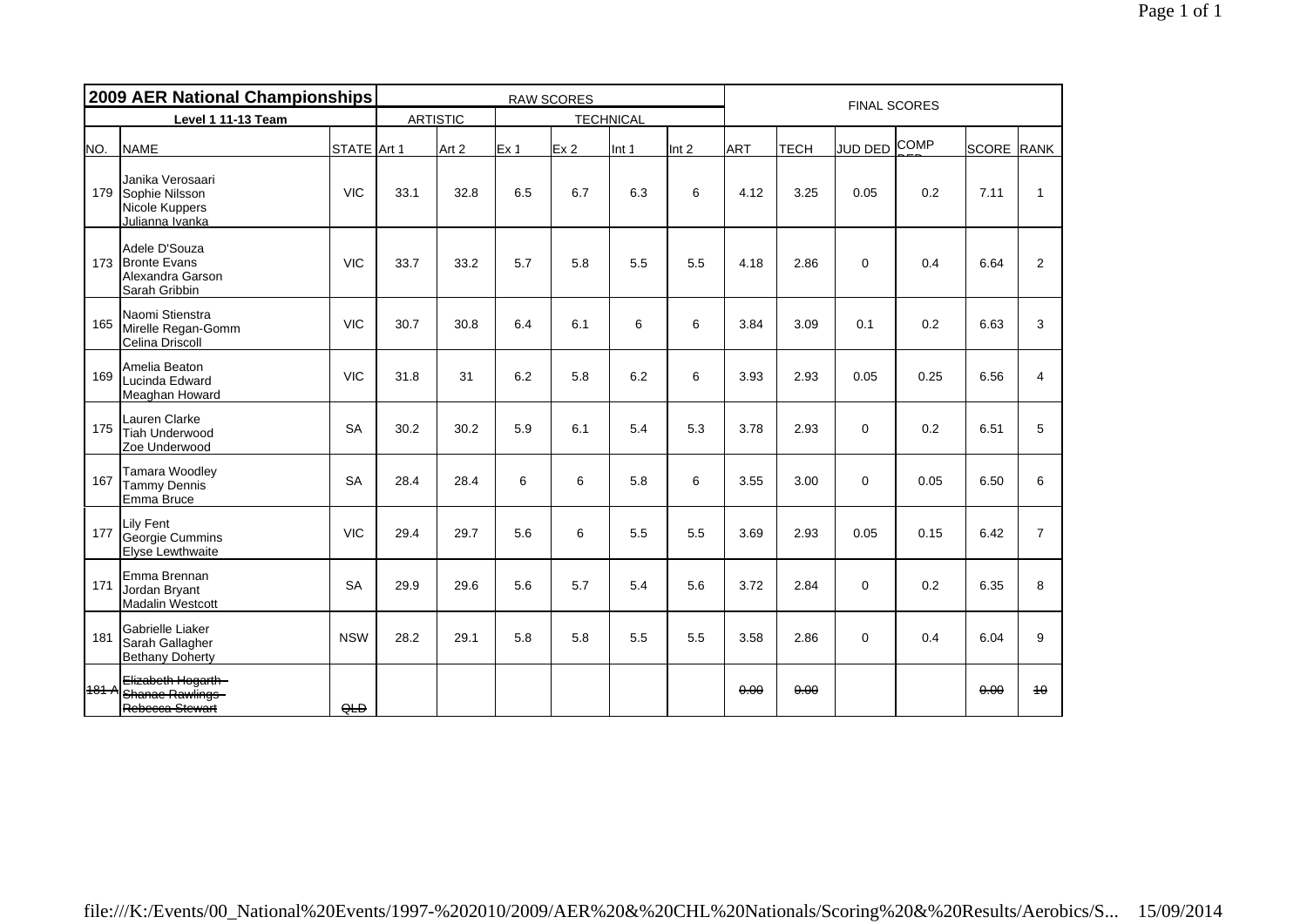|     | 2009 AER National Championships                                             | <b>RAW SCORES</b> |      |       |                 |                  |       |       | <b>FINAL SCORES</b> |      |              |      |                   |                |  |
|-----|-----------------------------------------------------------------------------|-------------------|------|-------|-----------------|------------------|-------|-------|---------------------|------|--------------|------|-------------------|----------------|--|
|     | Level 1 11-13 Team                                                          | <b>ARTISTIC</b>   |      |       |                 | <b>TECHNICAL</b> |       |       |                     |      |              |      |                   |                |  |
| NO. | <b>NAME</b>                                                                 | STATE Art 1       |      | Art 2 | Ex <sub>1</sub> | Ex <sub>2</sub>  | Int 1 | Int 2 | <b>ART</b>          | ТЕСН | JUD DED COMP |      | <b>SCORE</b> RANK |                |  |
|     | Janika Verosaari<br>179 Sophie Nilsson<br>Nicole Kuppers<br>Julianna Ivanka | <b>VIC</b>        | 33.1 | 32.8  | 6.5             | 6.7              | 6.3   | 6     | 4.12                | 3.25 | 0.05         | 0.2  | 7.11              | $\mathbf{1}$   |  |
|     | Adele D'Souza<br>173 Bronte Evans<br>Alexandra Garson<br>Sarah Gribbin      | <b>VIC</b>        | 33.7 | 33.2  | 5.7             | 5.8              | 5.5   | 5.5   | 4.18                | 2.86 | $\Omega$     | 0.4  | 6.64              | $\overline{2}$ |  |
| 165 | Naomi Stienstra<br>Mirelle Regan-Gomm<br>Celina Driscoll                    | <b>VIC</b>        | 30.7 | 30.8  | 6.4             | 6.1              | 6     | 6     | 3.84                | 3.09 | 0.1          | 0.2  | 6.63              | 3              |  |
| 169 | Amelia Beaton<br>Lucinda Edward<br>Meaghan Howard                           | <b>VIC</b>        | 31.8 | 31    | 6.2             | 5.8              | 6.2   | 6     | 3.93                | 2.93 | 0.05         | 0.25 | 6.56              | $\overline{4}$ |  |
| 175 | Lauren Clarke<br><b>Tiah Underwood</b><br>Zoe Underwood                     | <b>SA</b>         | 30.2 | 30.2  | 5.9             | 6.1              | 5.4   | 5.3   | 3.78                | 2.93 | $\Omega$     | 0.2  | 6.51              | 5              |  |
| 167 | Tamara Woodley<br>Tammy Dennis<br>Emma Bruce                                | <b>SA</b>         | 28.4 | 28.4  | 6               | 6                | 5.8   | 6     | 3.55                | 3.00 | $\Omega$     | 0.05 | 6.50              | 6              |  |
| 177 | <b>Lily Fent</b><br>Georgie Cummins<br><b>Elyse Lewthwaite</b>              | <b>VIC</b>        | 29.4 | 29.7  | 5.6             | 6                | 5.5   | 5.5   | 3.69                | 2.93 | 0.05         | 0.15 | 6.42              | $\overline{7}$ |  |
| 171 | Emma Brennan<br>Jordan Bryant<br>Madalin Westcott                           | <b>SA</b>         | 29.9 | 29.6  | 5.6             | 5.7              | 5.4   | 5.6   | 3.72                | 2.84 | $\mathbf 0$  | 0.2  | 6.35              | 8              |  |
| 181 | Gabrielle Liaker<br>Sarah Gallagher<br><b>Bethany Doherty</b>               | <b>NSW</b>        | 28.2 | 29.1  | 5.8             | 5.8              | 5.5   | 5.5   | 3.58                | 2.86 | $\mathbf 0$  | 0.4  | 6.04              | 9              |  |
|     | Elizabeth Hogarth<br>181 A Shanac Rawlings<br>Rebecca Stewart               | H                 |      |       |                 |                  |       |       | 0.00                | 0.00 |              |      | 0.00              | 10             |  |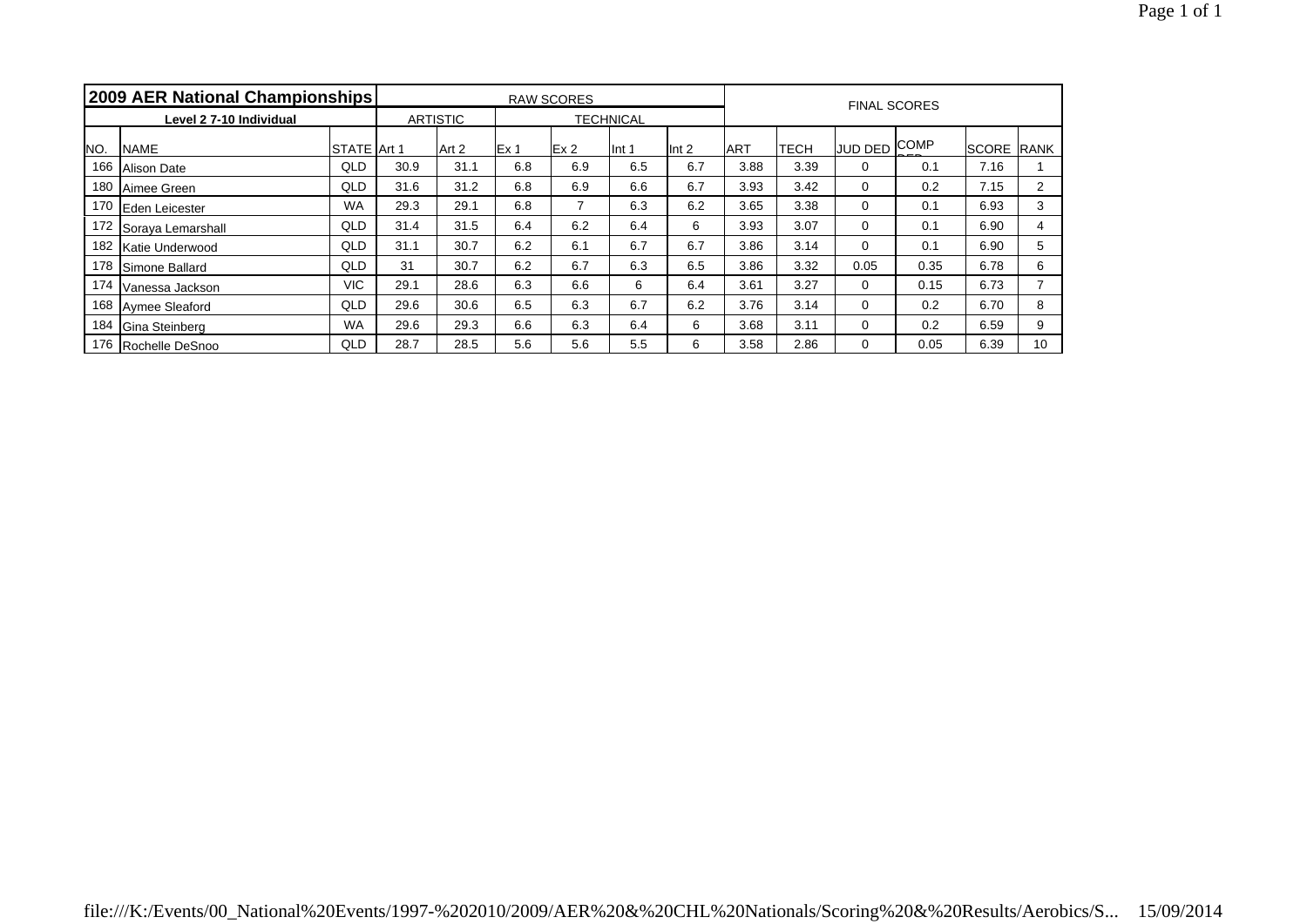| 2009 AER National Championships |                         |                    |                 |                  |      | <b>RAW SCORES</b> |        | <b>FINAL SCORES</b> |            |      |                                  |      |                   |    |
|---------------------------------|-------------------------|--------------------|-----------------|------------------|------|-------------------|--------|---------------------|------------|------|----------------------------------|------|-------------------|----|
|                                 | Level 2 7-10 Individual |                    | <b>ARTISTIC</b> | <b>TECHNICAL</b> |      |                   |        |                     |            |      |                                  |      |                   |    |
| NO.                             | <b>NAME</b>             | <b>STATE</b> Art 1 |                 | Art 2            | Ex 1 | Ex2               | llnt 1 | llnt 2              | <b>ART</b> | TECH | I <u>JUD</u> DED <sup>COMP</sup> |      | <b>SCORE RANK</b> |    |
| 166                             | Alison Date             | QLD                | 30.9            | 31.1             | 6.8  | 6.9               | 6.5    | 6.7                 | 3.88       | 3.39 | 0                                | 0.1  | 7.16              |    |
| 180                             | Aimee Green             | QLD                | 31.6            | 31.2             | 6.8  | 6.9               | 6.6    | 6.7                 | 3.93       | 3.42 | 0                                | 0.2  | 7.15              | 2  |
| 170                             | Eden Leicester          | <b>WA</b>          | 29.3            | 29.1             | 6.8  |                   | 6.3    | 6.2                 | 3.65       | 3.38 | 0                                | 0.1  | 6.93              | 3  |
| 172                             | Soraya Lemarshall       | QLD                | 31.4            | 31.5             | 6.4  | 6.2               | 6.4    | 6                   | 3.93       | 3.07 | 0                                | 0.1  | 6.90              | 4  |
| 182                             | Katie Underwood         | QLD                | 31.1            | 30.7             | 6.2  | 6.1               | 6.7    | 6.7                 | 3.86       | 3.14 | $\Omega$                         | 0.1  | 6.90              | 5  |
| 178                             | Simone Ballard          | QLD                | 31              | 30.7             | 6.2  | 6.7               | 6.3    | 6.5                 | 3.86       | 3.32 | 0.05                             | 0.35 | 6.78              | 6  |
| 174                             | Vanessa Jackson         | <b>VIC</b>         | 29.1            | 28.6             | 6.3  | 6.6               | 6      | 6.4                 | 3.61       | 3.27 | 0                                | 0.15 | 6.73              |    |
| 168                             | Aymee Sleaford          | <b>QLD</b>         | 29.6            | 30.6             | 6.5  | 6.3               | 6.7    | 6.2                 | 3.76       | 3.14 | 0                                | 0.2  | 6.70              | 8  |
| 184                             | Gina Steinberg          | <b>WA</b>          | 29.6            | 29.3             | 6.6  | 6.3               | 6.4    | 6                   | 3.68       | 3.11 | 0                                | 0.2  | 6.59              | 9  |
|                                 | 176 Rochelle DeSnoo     | QLD                | 28.7            | 28.5             | 5.6  | 5.6               | 5.5    | 6                   | 3.58       | 2.86 | 0                                | 0.05 | 6.39              | 10 |